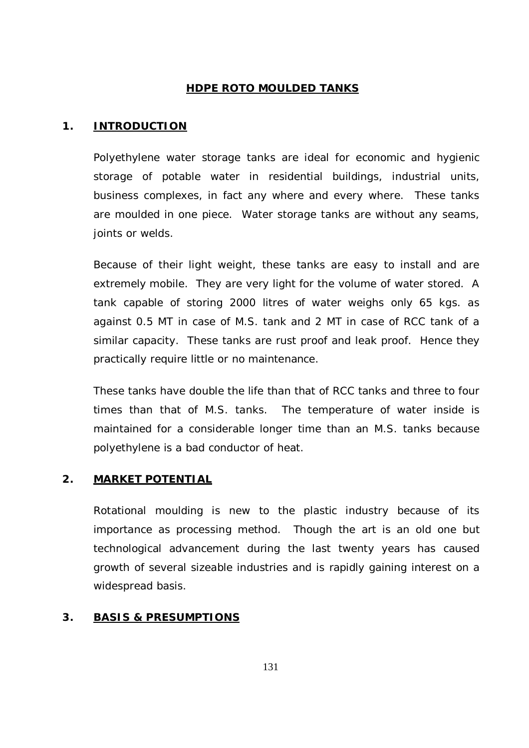# **HDPE ROTO MOULDED TANKS**

# **1. INTRODUCTION**

Polyethylene water storage tanks are ideal for economic and hygienic storage of potable water in residential buildings, industrial units, business complexes, in fact any where and every where. These tanks are moulded in one piece. Water storage tanks are without any seams, joints or welds.

Because of their light weight, these tanks are easy to install and are extremely mobile. They are very light for the volume of water stored. A tank capable of storing 2000 litres of water weighs only 65 kgs. as against 0.5 MT in case of M.S. tank and 2 MT in case of RCC tank of a similar capacity. These tanks are rust proof and leak proof. Hence they practically require little or no maintenance.

These tanks have double the life than that of RCC tanks and three to four times than that of M.S. tanks. The temperature of water inside is maintained for a considerable longer time than an M.S. tanks because polyethylene is a bad conductor of heat.

# **2. MARKET POTENTIAL**

Rotational moulding is new to the plastic industry because of its importance as processing method. Though the art is an old one but technological advancement during the last twenty years has caused growth of several sizeable industries and is rapidly gaining interest on a widespread basis.

# **3. BASIS & PRESUMPTIONS**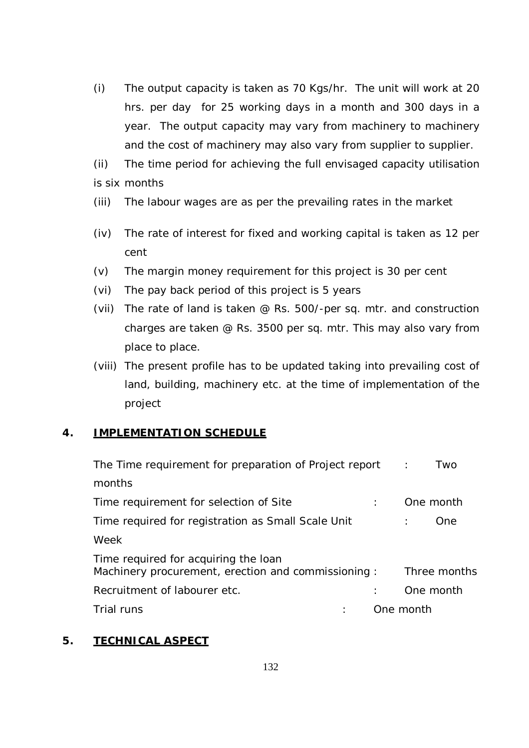(i) The output capacity is taken as 70 Kgs/hr. The unit will work at 20 hrs. per day for 25 working days in a month and 300 days in a year. The output capacity may vary from machinery to machinery and the cost of machinery may also vary from supplier to supplier.

(ii) The time period for achieving the full envisaged capacity utilisation is six months

- (iii) The labour wages are as per the prevailing rates in the market
- (iv) The rate of interest for fixed and working capital is taken as 12 per cent
- (v) The margin money requirement for this project is 30 per cent
- (vi) The pay back period of this project is 5 years
- (vii) The rate of land is taken @ Rs. 500/-per sq. mtr. and construction charges are taken @ Rs. 3500 per sq. mtr. This may also vary from place to place.
- (viii) The present profile has to be updated taking into prevailing cost of land, building, machinery etc. at the time of implementation of the project

# **4. IMPLEMENTATION SCHEDULE**

| The Time requirement for preparation of Project report :                                   | Two          |
|--------------------------------------------------------------------------------------------|--------------|
| months                                                                                     |              |
| Time requirement for selection of Site                                                     | One month    |
| Time required for registration as Small Scale Unit                                         | One          |
| Week                                                                                       |              |
| Time required for acquiring the loan<br>Machinery procurement, erection and commissioning: | Three months |
| Recruitment of labourer etc.                                                               | One month    |
| Trial runs                                                                                 | One month    |

## **5. TECHNICAL ASPECT**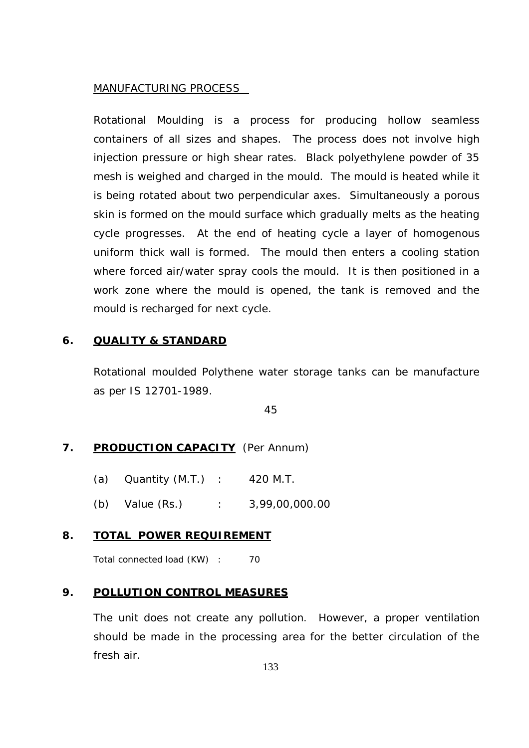#### MANUFACTURING PROCESS

Rotational Moulding is a process for producing hollow seamless containers of all sizes and shapes. The process does not involve high injection pressure or high shear rates. Black polyethylene powder of 35 mesh is weighed and charged in the mould. The mould is heated while it is being rotated about two perpendicular axes. Simultaneously a porous skin is formed on the mould surface which gradually melts as the heating cycle progresses. At the end of heating cycle a layer of homogenous uniform thick wall is formed. The mould then enters a cooling station where forced air/water spray cools the mould. It is then positioned in a work zone where the mould is opened, the tank is removed and the mould is recharged for next cycle.

#### **6. QUALITY & STANDARD**

Rotational moulded Polythene water storage tanks can be manufacture as per IS 12701-1989.

45

#### **7. PRODUCTION CAPACITY** (Per Annum)

- (a) Quantity (M.T.) : 420 M.T.
- (b) Value (Rs.) : 3,99,00,000.00

#### **8. TOTAL POWER REQUIREMENT**

Total connected load (KW) : 70

#### **9. POLLUTION CONTROL MEASURES**

The unit does not create any pollution. However, a proper ventilation should be made in the processing area for the better circulation of the fresh air.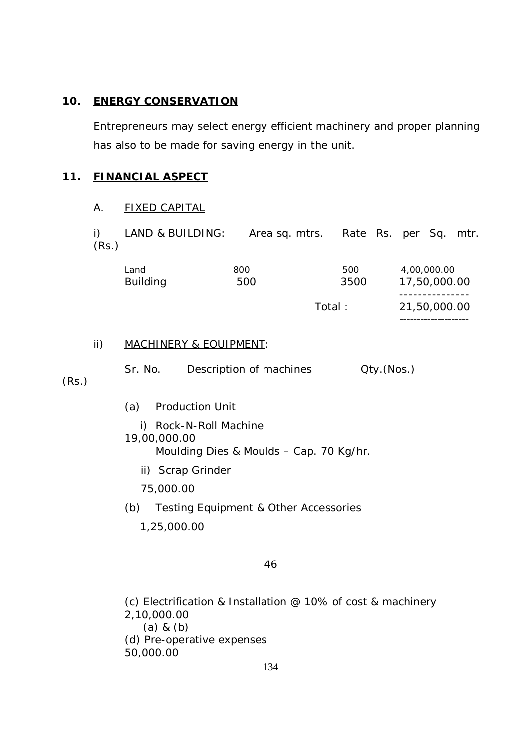### **10. ENERGY CONSERVATION**

Entrepreneurs may select energy efficient machinery and proper planning has also to be made for saving energy in the unit.

### **11. FINANCIAL ASPECT**

#### A. FIXED CAPITAL

i) LAND & BUILDING: Area sq. mtrs. Rate Rs. per Sq. mtr. (Rs.)

| 800<br>Land<br><b>Building</b><br>500 |  | 500<br>3500 | 4.00.000.00<br>17,50,000.00 |
|---------------------------------------|--|-------------|-----------------------------|
|                                       |  |             |                             |
|                                       |  | Total:      | 21,50,000.00                |

--------------------

#### ii) MACHINERY & EQUIPMENT:

Sr. No. Description of machines Qty.(Nos.)

(Rs.)

- (a) Production Unit
- i) Rock-N-Roll Machine 19,00,000.00 Moulding Dies & Moulds – Cap. 70 Kg/hr.
	- ii) Scrap Grinder

75,000.00

- (b) Testing Equipment & Other Accessories
	- 1,25,000.00

#### 46

(c) Electrification & Installation @ 10% of cost & machinery 2,10,000.00 (a) & (b) (d) Pre-operative expenses 50,000.00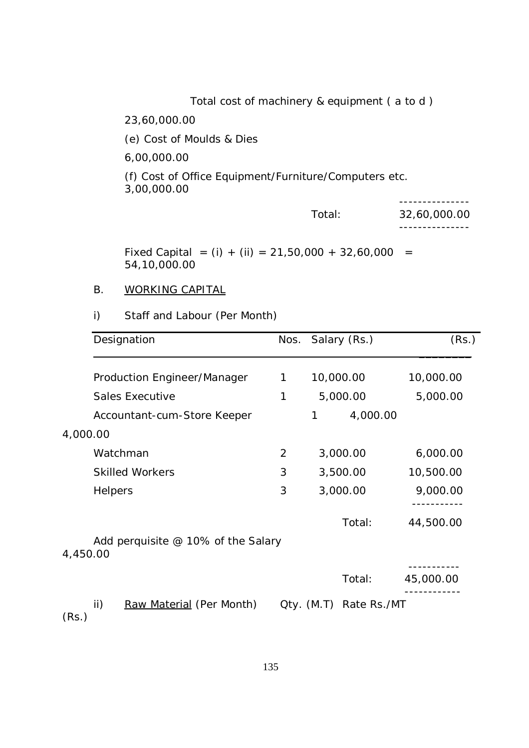Total cost of machinery & equipment ( a to d )

23,60,000.00

(e) Cost of Moulds & Dies

6,00,000.00

(f) Cost of Office Equipment/Furniture/Computers etc. 3,00,000.00

| Total: | 32,60,000.00 |
|--------|--------------|
|        |              |

Fixed Capital =  $(i) + (ii) = 21,50,000 + 32,60,000 =$ 54,10,000.00

# B. WORKING CAPITAL

# i) Staff and Labour (Per Month)

|          | Designation                          |   | Nos. Salary (Rs.)           | (Rs.)     |
|----------|--------------------------------------|---|-----------------------------|-----------|
|          | Production Engineer/Manager          | 1 | 10,000.00                   | 10,000.00 |
|          | <b>Sales Executive</b>               | 1 | 5,000.00                    | 5,000.00  |
|          | Accountant-cum-Store Keeper          |   | 4,000.00<br>1               |           |
| 4,000.00 |                                      |   |                             |           |
|          | Watchman                             | 2 | 3,000.00                    | 6,000.00  |
|          | <b>Skilled Workers</b>               | 3 | 3,500.00                    | 10,500.00 |
|          | Helpers                              |   | 3,000.00                    | 9,000.00  |
|          |                                      |   | Total:                      | 44,500.00 |
| 4,450.00 | Add perquisite $@$ 10% of the Salary |   |                             |           |
|          |                                      |   | Total:                      | 45,000.00 |
| (Rs.)    | ii)<br>Raw Material (Per Month)      |   | Rate Rs./MT<br>$Qty.$ (M.T) |           |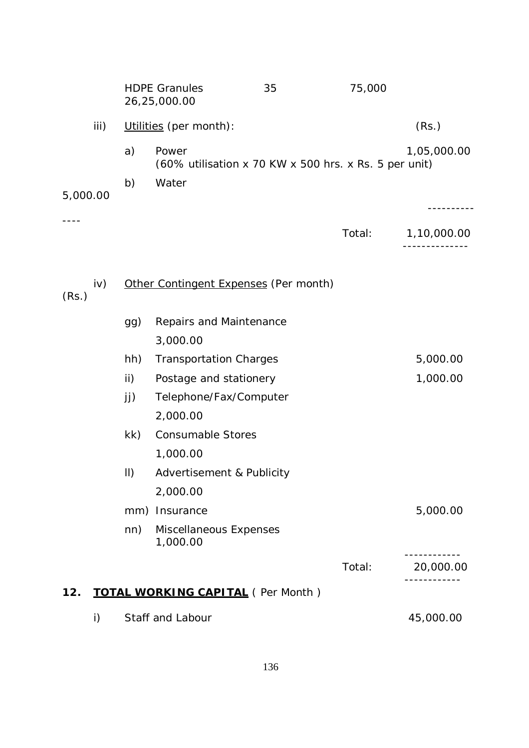|          |              |             | <b>HDPE Granules</b><br>26,25,000.00                           | 35 | 75,000 |                         |
|----------|--------------|-------------|----------------------------------------------------------------|----|--------|-------------------------|
| iii)     |              |             | Utilities (per month):                                         |    | (Rs.)  |                         |
|          |              | a)          | Power<br>(60% utilisation x 70 KW x 500 hrs. x Rs. 5 per unit) |    |        | 1,05,000.00             |
| 5,000.00 |              | b)          | Water                                                          |    |        |                         |
|          |              |             |                                                                |    | Total: | --------<br>1,10,000.00 |
| (Rs.)    | iv)          |             | Other Contingent Expenses (Per month)                          |    |        |                         |
|          |              | gg)         | Repairs and Maintenance<br>3,000.00                            |    |        |                         |
|          |              | hh)         | <b>Transportation Charges</b>                                  |    |        | 5,000.00                |
|          |              | ii)         | Postage and stationery                                         |    |        | 1,000.00                |
|          |              | jj)         | Telephone/Fax/Computer<br>2,000.00                             |    |        |                         |
|          |              | kk)         | <b>Consumable Stores</b><br>1,000.00                           |    |        |                         |
|          |              | $\parallel$ | Advertisement & Publicity<br>2,000.00                          |    |        |                         |
|          |              |             | mm) Insurance                                                  |    |        | 5,000.00                |
|          |              | nn)         | Miscellaneous Expenses<br>1,000.00                             |    |        |                         |
|          |              |             |                                                                |    | Total: | 20,000.00               |
| 12.      |              |             | <b>TOTAL WORKING CAPITAL</b> (Per Month)                       |    |        |                         |
|          | $\mathsf{i}$ |             | Staff and Labour                                               |    |        | 45,000.00               |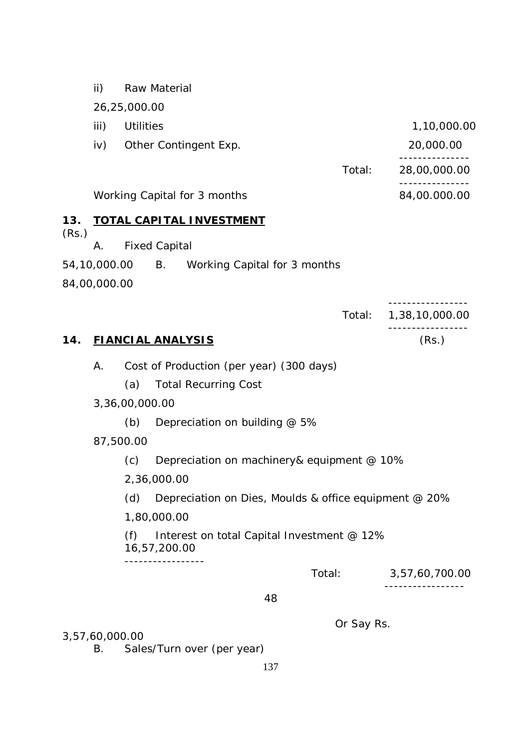ii) Raw Material

26,25,000.00

- iii) Utilities 1,10,000.00
	-

---------------

---------------

- iv) Other Contingent Exp. 20,000.00
	- Total: 28,00,000.00

Working Capital for 3 months 84,00.000.00

# **13. TOTAL CAPITAL INVESTMENT**

(Rs.)

- A. Fixed Capital
- 54,10,000.00 B. Working Capital for 3 months

84,00,000.00

-----------------

Total: 1,38,10,000.00 -----------------

### **14. FIANCIAL ANALYSIS** (Rs.)

- A. Cost of Production (per year) (300 days)
	- (a) Total Recurring Cost
- 3,36,00,000.00
	- (b) Depreciation on building  $@$  5%
- 87,500.00
	- (c) Depreciation on machinery& equipment @ 10%
	- 2,36,000.00
	- (d) Depreciation on Dies, Moulds & office equipment @ 20%
	- 1,80,000.00

(f) Interest on total Capital Investment @ 12% 16,57,200.00

-----------------

Total: 3,57,60,700.00

-----------------

48

Or Say Rs.

3,57,60,000.00

B. Sales/Turn over (per year)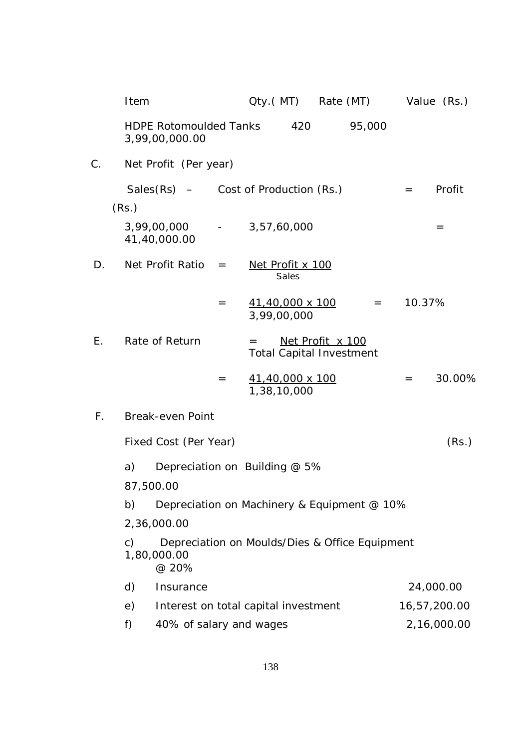|             | Item           |                                                                        |     |                                       |       | Qty.(MT) Rate (MT) Value (Rs.)                      |         |                 |              |
|-------------|----------------|------------------------------------------------------------------------|-----|---------------------------------------|-------|-----------------------------------------------------|---------|-----------------|--------------|
|             |                | <b>HDPE Rotomoulded Tanks</b><br>3,99,00,000.00                        |     |                                       | 420   |                                                     | 95,000  |                 |              |
| C.          |                | Net Profit (Per year)                                                  |     |                                       |       |                                                     |         |                 |              |
|             |                | Sales $(Rs)$ – Cost of Production $(Rs.)$                              |     |                                       |       |                                                     |         | $\!\!\!=\!\!\!$ | Profit       |
|             | (Rs.)          |                                                                        |     |                                       |       |                                                     |         |                 |              |
|             |                | 3,99,00,000 - 3,57,60,000<br>41,40,000.00                              |     |                                       |       |                                                     |         |                 | $=$          |
| D.          |                | Net Profit Ratio                                                       | $=$ | Net Profit x 100                      | Sales |                                                     |         |                 |              |
|             |                |                                                                        | $=$ | <u>41,40,000 x 100</u><br>3,99,00,000 |       |                                                     | $=$ $-$ | 10.37%          |              |
| Ε.          |                | Rate of Return                                                         |     | $=$                                   |       | Net Profit x 100<br><b>Total Capital Investment</b> |         |                 |              |
|             |                |                                                                        | $=$ | <u>41,40,000 x 100</u><br>1,38,10,000 |       |                                                     |         | $=$             | 30.00%       |
| $F_{\perp}$ |                | <b>Break-even Point</b>                                                |     |                                       |       |                                                     |         |                 |              |
|             |                | Fixed Cost (Per Year)                                                  |     |                                       |       |                                                     |         |                 | (Rs.)        |
|             | a)             | Depreciation on Building @ 5%                                          |     |                                       |       |                                                     |         |                 |              |
|             |                | 87,500.00                                                              |     |                                       |       |                                                     |         |                 |              |
|             | b)             | Depreciation on Machinery & Equipment @ 10%                            |     |                                       |       |                                                     |         |                 |              |
|             |                | 2,36,000.00                                                            |     |                                       |       |                                                     |         |                 |              |
|             | $\mathsf{C}$ ) | Depreciation on Moulds/Dies & Office Equipment<br>1,80,000.00<br>@ 20% |     |                                       |       |                                                     |         |                 |              |
|             | d)             | Insurance                                                              |     |                                       |       |                                                     |         |                 | 24,000.00    |
|             | e)             | Interest on total capital investment                                   |     |                                       |       |                                                     |         |                 | 16,57,200.00 |
|             | f)             | 40% of salary and wages                                                |     |                                       |       |                                                     |         |                 | 2,16,000.00  |